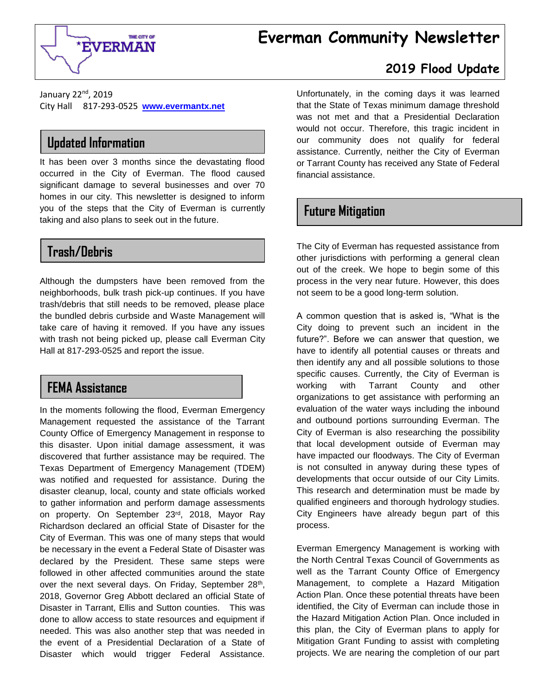# **Everman Community Newsletter**



#### **2019 Flood Update**

January 22<sup>nd</sup>, 2019 City Hall 817-293-0525 **[www.evermantx.net](http://www.evermantx.net/)**

# **Updated Information**

It has been over 3 months since the devastating flood occurred in the City of Everman. The flood caused significant damage to several businesses and over 70 homes in our city. This newsletter is designed to inform you of the steps that the City of Everman is currently taking and also plans to seek out in the future.

## **Trash/Debris**

Although the dumpsters have been removed from the neighborhoods, bulk trash pick-up continues. If you have trash/debris that still needs to be removed, please place the bundled debris curbside and Waste Management will take care of having it removed. If you have any issues with trash not being picked up, please call Everman City Hall at 817-293-0525 and report the issue.

#### **FEMA Assistance**

In the moments following the flood, Everman Emergency Management requested the assistance of the Tarrant County Office of Emergency Management in response to this disaster. Upon initial damage assessment, it was discovered that further assistance may be required. The Texas Department of Emergency Management (TDEM) was notified and requested for assistance. During the disaster cleanup, local, county and state officials worked to gather information and perform damage assessments on property. On September 23rd, 2018, Mayor Ray Richardson declared an official State of Disaster for the City of Everman. This was one of many steps that would be necessary in the event a Federal State of Disaster was declared by the President. These same steps were followed in other affected communities around the state over the next several days. On Friday, September 28<sup>th</sup>, 2018, Governor Greg Abbott declared an official State of Disaster in Tarrant, Ellis and Sutton counties. This was done to allow access to state resources and equipment if needed. This was also another step that was needed in the event of a Presidential Declaration of a State of Disaster which would trigger Federal Assistance.

Unfortunately, in the coming days it was learned that the State of Texas minimum damage threshold was not met and that a Presidential Declaration would not occur. Therefore, this tragic incident in our community does not qualify for federal assistance. Currently, neither the City of Everman or Tarrant County has received any State of Federal financial assistance.

#### **Future Mitigation**

The City of Everman has requested assistance from other jurisdictions with performing a general clean out of the creek. We hope to begin some of this process in the very near future. However, this does not seem to be a good long-term solution.

A common question that is asked is, "What is the City doing to prevent such an incident in the future?". Before we can answer that question, we have to identify all potential causes or threats and then identify any and all possible solutions to those specific causes. Currently, the City of Everman is working with Tarrant County and other organizations to get assistance with performing an evaluation of the water ways including the inbound and outbound portions surrounding Everman. The City of Everman is also researching the possibility that local development outside of Everman may have impacted our floodways. The City of Everman is not consulted in anyway during these types of developments that occur outside of our City Limits. This research and determination must be made by qualified engineers and thorough hydrology studies. City Engineers have already begun part of this process.

Everman Emergency Management is working with the North Central Texas Council of Governments as well as the Tarrant County Office of Emergency Management, to complete a Hazard Mitigation Action Plan. Once these potential threats have been identified, the City of Everman can include those in the Hazard Mitigation Action Plan. Once included in this plan, the City of Everman plans to apply for Mitigation Grant Funding to assist with completing projects. We are nearing the completion of our part